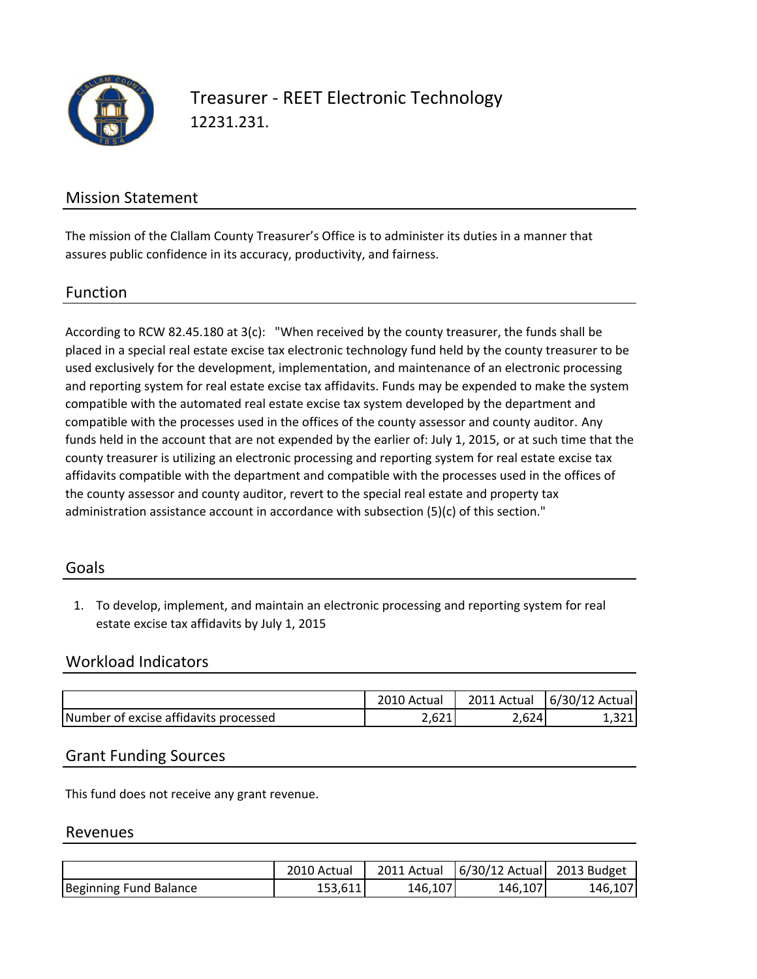

Treasurer ‐ REET Electronic Technology 12231.231.

## Mission Statement

The mission of the Clallam County Treasurer's Office is to administer its duties in a manner that assures public confidence in its accuracy, productivity, and fairness.

#### Function

According to RCW 82.45.180 at 3(c): "When received by the county treasurer, the funds shall be placed in a special real estate excise tax electronic technology fund held by the county treasurer to be used exclusively for the development, implementation, and maintenance of an electronic processing and reporting system for real estate excise tax affidavits. Funds may be expended to make the system compatible with the automated real estate excise tax system developed by the department and compatible with the processes used in the offices of the county assessor and county auditor. Any funds held in the account that are not expended by the earlier of: July 1, 2015, or at such time that the county treasurer is utilizing an electronic processing and reporting system for real estate excise tax affidavits compatible with the department and compatible with the processes used in the offices of the county assessor and county auditor, revert to the special real estate and property tax administration assistance account in accordance with subsection (5)(c) of this section."

#### Goals

1. To develop, implement, and maintain an electronic processing and reporting system for real estate excise tax affidavits by July 1, 2015

## Workload Indicators

|                                       | 2010 Actual | 2011 Actual | 6/30/12 Actual |
|---------------------------------------|-------------|-------------|----------------|
| Number of excise affidavits processed | ∪∠⊥         | 2,624       | 3211           |

#### Grant Funding Sources

This fund does not receive any grant revenue.

#### Revenues

|                        | 2010 Actual | 2011 Actual | 6/30/12 Actual 2013 Budget |         |
|------------------------|-------------|-------------|----------------------------|---------|
| Beginning Fund Balance | 153.611     | 146,107     | 146,107                    | 146,107 |